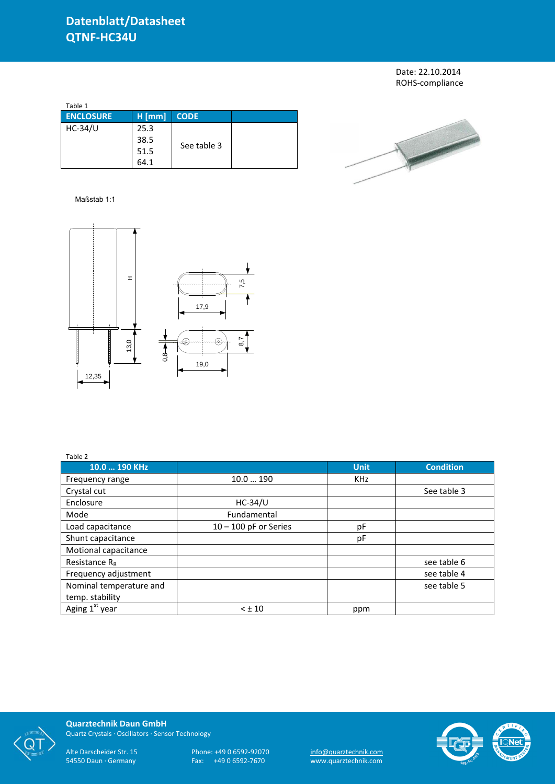Date: 22.10.2014 ROHS-compliance

| Table 1          |          |             |  |
|------------------|----------|-------------|--|
| <b>ENCLOSURE</b> | $H$ [mm] | <b>CODE</b> |  |
| $HC-34/U$        | 25.3     |             |  |
|                  | 38.5     | See table 3 |  |
|                  | 51.5     |             |  |
|                  | 64.1     |             |  |



## Maßstab 1:1



## Table 2

| Table 2                    |                         |             |                  |
|----------------------------|-------------------------|-------------|------------------|
| 10.0  190 KHz              |                         | <b>Unit</b> | <b>Condition</b> |
| Frequency range            | 10.0190                 | <b>KHz</b>  |                  |
| Crystal cut                |                         |             | See table 3      |
| Enclosure                  | $HC-34/U$               |             |                  |
| Mode                       | Fundamental             |             |                  |
| Load capacitance           | $10 - 100$ pF or Series | рF          |                  |
| Shunt capacitance          |                         | pF          |                  |
| Motional capacitance       |                         |             |                  |
| Resistance $R_R$           |                         |             | see table 6      |
| Frequency adjustment       |                         |             | see table 4      |
| Nominal temperature and    |                         |             | see table 5      |
| temp. stability            |                         |             |                  |
| Aging 1 <sup>st</sup> year | $< \pm 10$              | ppm         |                  |



**Quarztechnik Daun GmbH** Quartz Crystals · Oscillators · Sensor Technology

Alte Darscheider Str. 15 Phone: +49 0 6592-92070 <u>info@quarztechnik.com</u>

54550 Daun · Germany Fax: +49 0 6592-7670 www.quarztechnik.com